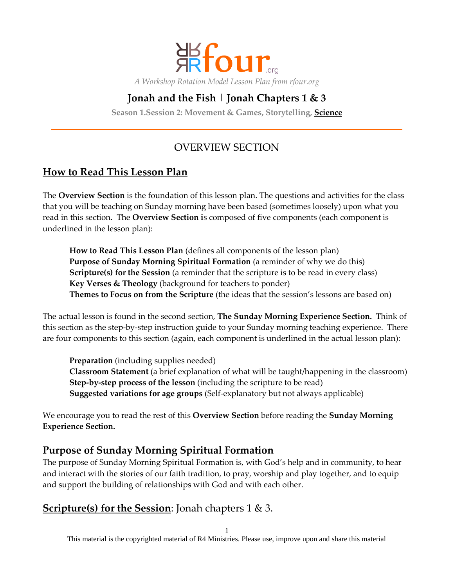

# **Jonah and the Fish | Jonah Chapters 1 & 3**

**Season 1.Session 2: Movement & Games, Storytelling, Science**

# OVERVIEW SECTION

# **How to Read This Lesson Plan**

The **Overview Section** is the foundation of this lesson plan. The questions and activities for the class that you will be teaching on Sunday morning have been based (sometimes loosely) upon what you read in this section. The **Overview Section i**s composed of five components (each component is underlined in the lesson plan):

**How to Read This Lesson Plan** (defines all components of the lesson plan) **Purpose of Sunday Morning Spiritual Formation** (a reminder of why we do this) **Scripture(s) for the Session** (a reminder that the scripture is to be read in every class) **Key Verses & Theology** (background for teachers to ponder) **Themes to Focus on from the Scripture** (the ideas that the session's lessons are based on)

The actual lesson is found in the second section, **The Sunday Morning Experience Section.** Think of this section as the step-by-step instruction guide to your Sunday morning teaching experience. There are four components to this section (again, each component is underlined in the actual lesson plan):

**Preparation** (including supplies needed) **Classroom Statement** (a brief explanation of what will be taught/happening in the classroom) **Step-by-step process of the lesson** (including the scripture to be read) **Suggested variations for age groups** (Self-explanatory but not always applicable)

We encourage you to read the rest of this **Overview Section** before reading the **Sunday Morning Experience Section.**

# **Purpose of Sunday Morning Spiritual Formation**

The purpose of Sunday Morning Spiritual Formation is, with God's help and in community, to hear and interact with the stories of our faith tradition, to pray, worship and play together, and to equip and support the building of relationships with God and with each other.

# **Scripture(s) for the Session**: Jonah chapters 1 & 3.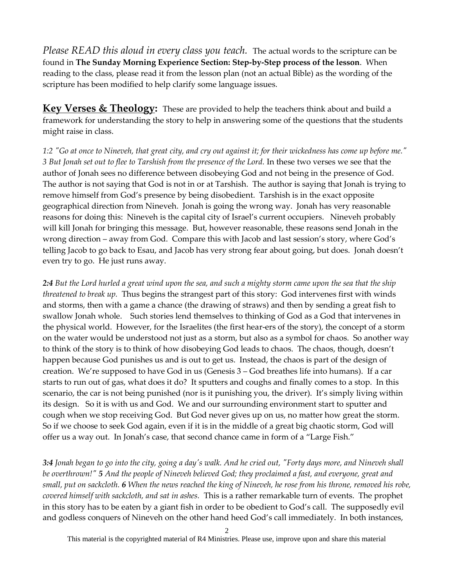*Please READ this aloud in every class you teach.* The actual words to the scripture can be found in **The Sunday Morning Experience Section: Step-by-Step process of the lesson**. When reading to the class, please read it from the lesson plan (not an actual Bible) as the wording of the scripture has been modified to help clarify some language issues.

**Key Verses & Theology:** These are provided to help the teachers think about and build a framework for understanding the story to help in answering some of the questions that the students might raise in class.

*1:2 "Go at once to Nineveh, that great city, and cry out against it; for their wickedness has come up before me." 3 But Jonah set out to flee to Tarshish from the presence of the Lord.* In these two verses we see that the author of Jonah sees no difference between disobeying God and not being in the presence of God. The author is not saying that God is not in or at Tarshish. The author is saying that Jonah is trying to remove himself from God's presence by being disobedient. Tarshish is in the exact opposite geographical direction from Nineveh. Jonah is going the wrong way. Jonah has very reasonable reasons for doing this: Nineveh is the capital city of Israel's current occupiers. Nineveh probably will kill Jonah for bringing this message. But, however reasonable, these reasons send Jonah in the wrong direction – away from God. Compare this with Jacob and last session's story, where God's telling Jacob to go back to Esau, and Jacob has very strong fear about going, but does. Jonah doesn't even try to go. He just runs away.

*2:4 But the Lord hurled a great wind upon the sea, and such a mighty storm came upon the sea that the ship threatened to break up.* Thus begins the strangest part of this story: God intervenes first with winds and storms, then with a game a chance (the drawing of straws) and then by sending a great fish to swallow Jonah whole. Such stories lend themselves to thinking of God as a God that intervenes in the physical world. However, for the Israelites (the first hear-ers of the story), the concept of a storm on the water would be understood not just as a storm, but also as a symbol for chaos. So another way to think of the story is to think of how disobeying God leads to chaos. The chaos, though, doesn't happen because God punishes us and is out to get us. Instead, the chaos is part of the design of creation. We're supposed to have God in us (Genesis 3 – God breathes life into humans). If a car starts to run out of gas, what does it do? It sputters and coughs and finally comes to a stop. In this scenario, the car is not being punished (nor is it punishing you, the driver). It's simply living within its design. So it is with us and God. We and our surrounding environment start to sputter and cough when we stop receiving God. But God never gives up on us, no matter how great the storm. So if we choose to seek God again, even if it is in the middle of a great big chaotic storm, God will offer us a way out. In Jonah's case, that second chance came in form of a "Large Fish."

*3:4 Jonah began to go into the city, going a day's walk. And he cried out, "Forty days more, and Nineveh shall be overthrown!" 5 And the people of Nineveh believed God; they proclaimed a fast, and everyone, great and small, put on sackcloth. 6 When the news reached the king of Nineveh, he rose from his throne, removed his robe, covered himself with sackcloth, and sat in ashes.* This is a rather remarkable turn of events. The prophet in this story has to be eaten by a giant fish in order to be obedient to God's call. The supposedly evil and godless conquers of Nineveh on the other hand heed God's call immediately. In both instances,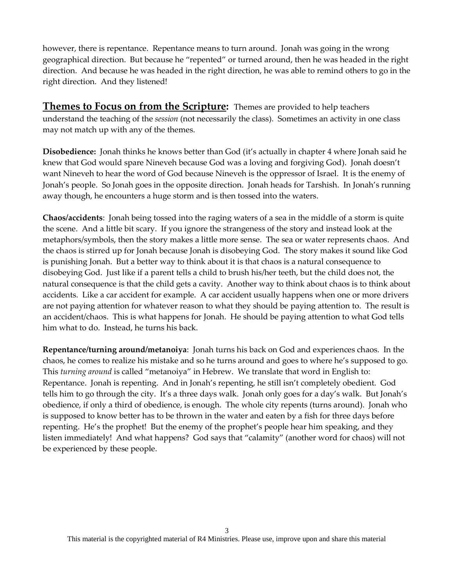however, there is repentance. Repentance means to turn around. Jonah was going in the wrong geographical direction. But because he "repented" or turned around, then he was headed in the right direction. And because he was headed in the right direction, he was able to remind others to go in the right direction. And they listened!

**Themes to Focus on from the Scripture:** Themes are provided to help teachers understand the teaching of the *session* (not necessarily the class). Sometimes an activity in one class may not match up with any of the themes.

**Disobedience:** Jonah thinks he knows better than God (it's actually in chapter 4 where Jonah said he knew that God would spare Nineveh because God was a loving and forgiving God). Jonah doesn't want Nineveh to hear the word of God because Nineveh is the oppressor of Israel. It is the enemy of Jonah's people. So Jonah goes in the opposite direction. Jonah heads for Tarshish. In Jonah's running away though, he encounters a huge storm and is then tossed into the waters.

**Chaos/accidents**: Jonah being tossed into the raging waters of a sea in the middle of a storm is quite the scene. And a little bit scary. If you ignore the strangeness of the story and instead look at the metaphors/symbols, then the story makes a little more sense. The sea or water represents chaos. And the chaos is stirred up for Jonah because Jonah is disobeying God. The story makes it sound like God is punishing Jonah. But a better way to think about it is that chaos is a natural consequence to disobeying God. Just like if a parent tells a child to brush his/her teeth, but the child does not, the natural consequence is that the child gets a cavity. Another way to think about chaos is to think about accidents. Like a car accident for example. A car accident usually happens when one or more drivers are not paying attention for whatever reason to what they should be paying attention to. The result is an accident/chaos. This is what happens for Jonah. He should be paying attention to what God tells him what to do. Instead, he turns his back.

**Repentance/turning around/metanoiya**: Jonah turns his back on God and experiences chaos. In the chaos, he comes to realize his mistake and so he turns around and goes to where he's supposed to go. This *turning around* is called "metanoiya" in Hebrew. We translate that word in English to: Repentance. Jonah is repenting. And in Jonah's repenting, he still isn't completely obedient. God tells him to go through the city. It's a three days walk. Jonah only goes for a day's walk. But Jonah's obedience, if only a third of obedience, is enough. The whole city repents (turns around). Jonah who is supposed to know better has to be thrown in the water and eaten by a fish for three days before repenting. He's the prophet! But the enemy of the prophet's people hear him speaking, and they listen immediately! And what happens? God says that "calamity" (another word for chaos) will not be experienced by these people.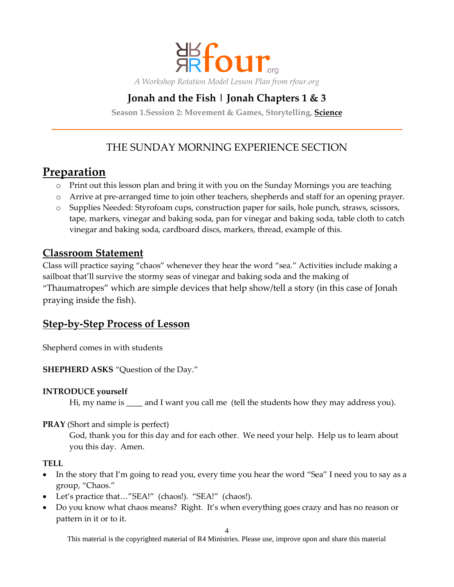

# **Jonah and the Fish | Jonah Chapters 1 & 3**

**Season 1.Session 2: Movement & Games, Storytelling, Science**

# THE SUNDAY MORNING EXPERIENCE SECTION

# **Preparation**

- o Print out this lesson plan and bring it with you on the Sunday Mornings you are teaching
- o Arrive at pre-arranged time to join other teachers, shepherds and staff for an opening prayer.
- o Supplies Needed: Styrofoam cups, construction paper for sails, hole punch, straws, scissors, tape, markers, vinegar and baking soda, pan for vinegar and baking soda, table cloth to catch vinegar and baking soda, cardboard discs, markers, thread, example of this.

# **Classroom Statement**

Class will practice saying "chaos" whenever they hear the word "sea." Activities include making a sailboat that'll survive the stormy seas of vinegar and baking soda and the making of "Thaumatropes" which are simple devices that help show/tell a story (in this case of Jonah praying inside the fish).

# **Step-by-Step Process of Lesson**

Shepherd comes in with students

**SHEPHERD ASKS** "Question of the Day."

### **INTRODUCE yourself**

Hi, my name is \_\_\_\_ and I want you call me (tell the students how they may address you).

### **PRAY** (Short and simple is perfect)

God, thank you for this day and for each other. We need your help. Help us to learn about you this day. Amen.

### **TELL**

- In the story that I'm going to read you, every time you hear the word "Sea" I need you to say as a group, "Chaos."
- Let's practice that…"SEA!" (chaos!). "SEA!" (chaos!).
- Do you know what chaos means? Right. It's when everything goes crazy and has no reason or pattern in it or to it.

4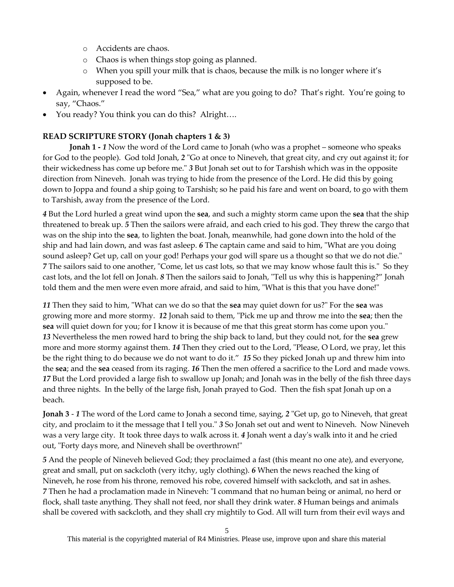- o Accidents are chaos.
- o Chaos is when things stop going as planned.
- o When you spill your milk that is chaos, because the milk is no longer where it's supposed to be.
- Again, whenever I read the word "Sea," what are you going to do? That's right. You're going to say, "Chaos."
- You ready? You think you can do this? Alright....

### **READ SCRIPTURE STORY (Jonah chapters 1 & 3)**

**Jonah 1 -** *1* Now the word of the Lord came to Jonah (who was a prophet – someone who speaks for God to the people). God told Jonah, *2* "Go at once to Nineveh, that great city, and cry out against it; for their wickedness has come up before me." *3* But Jonah set out to for Tarshish which was in the opposite direction from Nineveh. Jonah was trying to hide from the presence of the Lord. He did this by going down to Joppa and found a ship going to Tarshish; so he paid his fare and went on board, to go with them to Tarshish, away from the presence of the Lord.

*4* But the Lord hurled a great wind upon the **sea**, and such a mighty storm came upon the **sea** that the ship threatened to break up. *5* Then the sailors were afraid, and each cried to his god. They threw the cargo that was on the ship into the **sea**, to lighten the boat. Jonah, meanwhile, had gone down into the hold of the ship and had lain down, and was fast asleep. *6* The captain came and said to him, "What are you doing sound asleep? Get up, call on your god! Perhaps your god will spare us a thought so that we do not die." *7* The sailors said to one another, "Come, let us cast lots, so that we may know whose fault this is." So they cast lots, and the lot fell on Jonah. *8* Then the sailors said to Jonah, "Tell us why this is happening?" Jonah told them and the men were even more afraid, and said to him, "What is this that you have done!"

*11* Then they said to him, "What can we do so that the **sea** may quiet down for us?" For the **sea** was growing more and more stormy. *12* Jonah said to them, "Pick me up and throw me into the **sea**; then the **sea** will quiet down for you; for I know it is because of me that this great storm has come upon you." *13* Nevertheless the men rowed hard to bring the ship back to land, but they could not, for the **sea** grew more and more stormy against them. *14* Then they cried out to the Lord, "Please, O Lord, we pray, let this be the right thing to do because we do not want to do it." *15* So they picked Jonah up and threw him into the **sea**; and the **sea** ceased from its raging. *16* Then the men offered a sacrifice to the Lord and made vows. *17* But the Lord provided a large fish to swallow up Jonah; and Jonah was in the belly of the fish three days and three nights. In the belly of the large fish, Jonah prayed to God. Then the fish spat Jonah up on a beach.

**Jonah 3** - *1* The word of the Lord came to Jonah a second time, saying, *2* "Get up, go to Nineveh, that great city, and proclaim to it the message that I tell you." *3* So Jonah set out and went to Nineveh. Now Nineveh was a very large city. It took three days to walk across it. *4* Jonah went a day's walk into it and he cried out, "Forty days more, and Nineveh shall be overthrown!"

*5* And the people of Nineveh believed God; they proclaimed a fast (this meant no one ate), and everyone, great and small, put on sackcloth (very itchy, ugly clothing). *6* When the news reached the king of Nineveh, he rose from his throne, removed his robe, covered himself with sackcloth, and sat in ashes. *7* Then he had a proclamation made in Nineveh: "I command that no human being or animal, no herd or flock, shall taste anything. They shall not feed, nor shall they drink water. *8* Human beings and animals shall be covered with sackcloth, and they shall cry mightily to God. All will turn from their evil ways and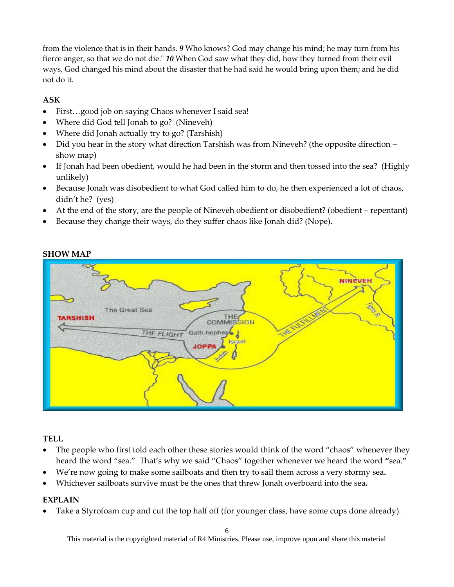from the violence that is in their hands. *9* Who knows? God may change his mind; he may turn from his fierce anger, so that we do not die." *10* When God saw what they did, how they turned from their evil ways, God changed his mind about the disaster that he had said he would bring upon them; and he did not do it.

## **ASK**

- First…good job on saying Chaos whenever I said sea!
- Where did God tell Jonah to go? (Nineveh)
- Where did Jonah actually try to go? (Tarshish)
- Did you hear in the story what direction Tarshish was from Nineveh? (the opposite direction show map)
- If Jonah had been obedient, would he had been in the storm and then tossed into the sea?(Highly unlikely)
- Because Jonah was disobedient to what God called him to do, he then experienced a lot of chaos, didn't he? (yes)
- At the end of the story, are the people of Nineveh obedient or disobedient? (obedient repentant)
- Because they change their ways, do they suffer chaos like Jonah did? (Nope).



### **SHOW MAP**

### **TELL**

- The people who first told each other these stories would think of the word "chaos" whenever they heard the word "sea." That's why we said "Chaos" together whenever we heard the word **"**sea.**"**
- We're now going to make some sailboats and then try to sail them across a very stormy sea**.**
- Whichever sailboats survive must be the ones that threw Jonah overboard into the sea**.**

### **EXPLAIN**

Take a Styrofoam cup and cut the top half off (for younger class, have some cups done already).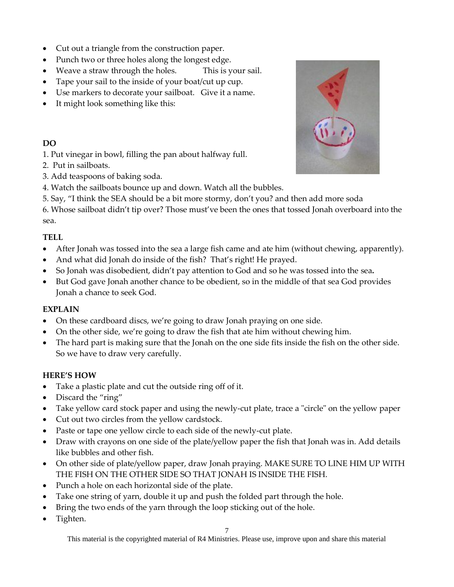- Cut out a triangle from the construction paper.
- Punch two or three holes along the longest edge.
- Weave a straw through the holes. This is your sail.
- Tape your sail to the inside of your boat/cut up cup.
- Use markers to decorate your sailboat. Give it a name.
- It might look something like this:

### **DO**

1. Put vinegar in bowl, filling the pan about halfway full.

- 2. Put in sailboats.
- 3. Add teaspoons of baking soda.
- 4. Watch the sailboats bounce up and down. Watch all the bubbles.
- 5. Say, "I think the SEA should be a bit more stormy, don't you? and then add more soda

6. Whose sailboat didn't tip over? Those must've been the ones that tossed Jonah overboard into the sea.

## **TELL**

- After Jonah was tossed into the sea a large fish came and ate him (without chewing, apparently).
- And what did Jonah do inside of the fish? That's right! He prayed.
- So Jonah was disobedient, didn't pay attention to God and so he was tossed into the sea**.**
- But God gave Jonah another chance to be obedient, so in the middle of that sea God provides Jonah a chance to seek God.

### **EXPLAIN**

- On these cardboard discs, we're going to draw Jonah praying on one side.
- On the other side, we're going to draw the fish that ate him without chewing him.
- The hard part is making sure that the Jonah on the one side fits inside the fish on the other side. So we have to draw very carefully.

## **HERE'S HOW**

- Take a plastic plate and cut the outside ring off of it.
- Discard the "ring"
- Take yellow card stock paper and using the newly-cut plate, trace a "circle" on the yellow paper
- Cut out two circles from the yellow cardstock.
- Paste or tape one yellow circle to each side of the newly-cut plate.
- Draw with crayons on one side of the plate/yellow paper the fish that Jonah was in. Add details like bubbles and other fish.
- On other side of plate/yellow paper, draw Jonah praying. MAKE SURE TO LINE HIM UP WITH THE FISH ON THE OTHER SIDE SO THAT JONAH IS INSIDE THE FISH.
- Punch a hole on each horizontal side of the plate.
- Take one string of yarn, double it up and push the folded part through the hole.
- Bring the two ends of the yarn through the loop sticking out of the hole.
- Tighten.